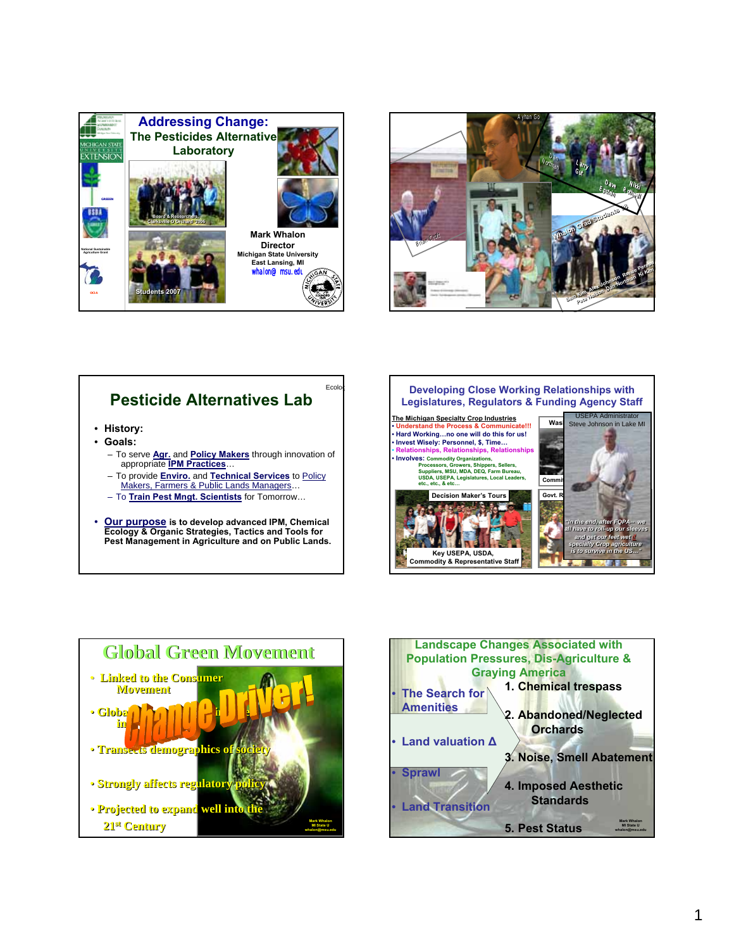



## **Pesticide Alternatives Lab**

- **History:**
- **Goals:**
	- To serve **Agr.** and **Policy Makers** through innovation of appropriate **IPM Practices**…
	- To provide **Enviro.** and **Technical Services** to Policy Makers, Farmers & Public Lands Managers…
	- To **Train Pest Mngt. Scientists** for Tomorrow…
- **Our purpose is to develop advanced IPM, Chemical Ecology & Organic Strategies, Tactics and Tools for Pest Management in Agriculture and on Public Lands.**





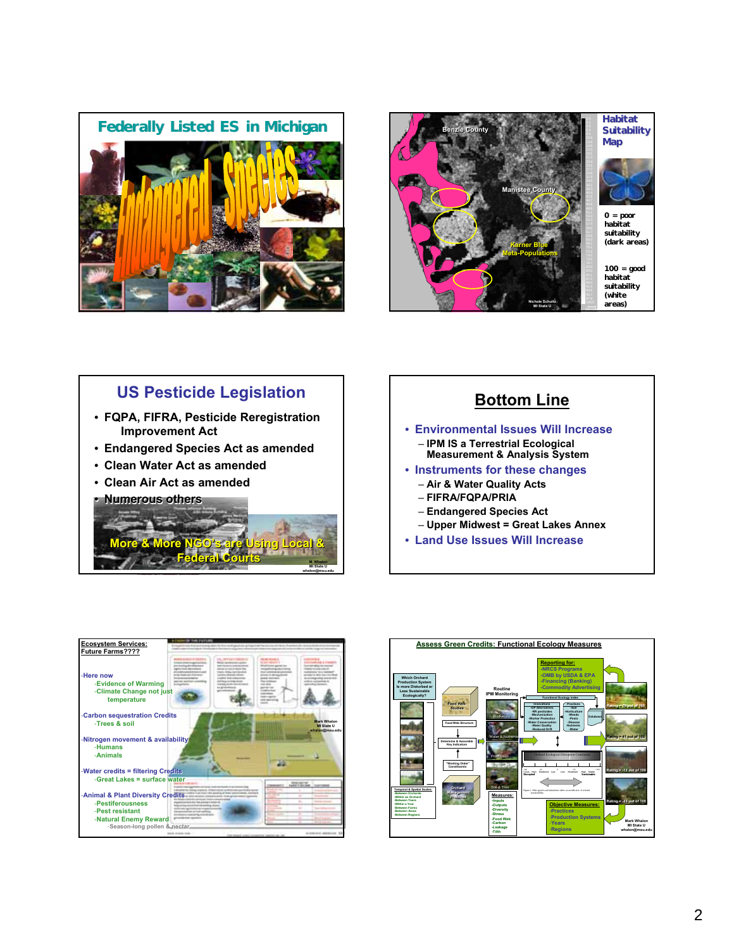



#### **US Pesticide Legislation** • **FQPA, FIFRA, Pesticide Reregistration**  • **FQPA, FIFRA, Pesticide Reregistration Improvement Act Improvement Act** • **Endangered Species Act as amended** • **Endangered Species Act as amended** • **Clean Water Act as amended** • **Clean Water Act as amended** • **Clean Air Act as amended** • **Clean Air Act as amended** • **Numerous others** • **Numerous More & More NGO's are Using Local & Federal Courts More & More NGO's are Using Local & Federal Courts M. Whalon MI State U**

**whalon@msu.edu**

# **Bottom Line**

- **Environmental Issues Will Increase** – **IPM IS a Terrestrial Ecological Measurement & Analysis System**
- **Instruments for these changes**
- **Air & Water Quality Acts**
	- **FIFRA/FQPA/PRIA**
	- **Endangered Species Act**
	- **Upper Midwest = Great Lakes Annex**
- **Land Use Issues Will Increase**



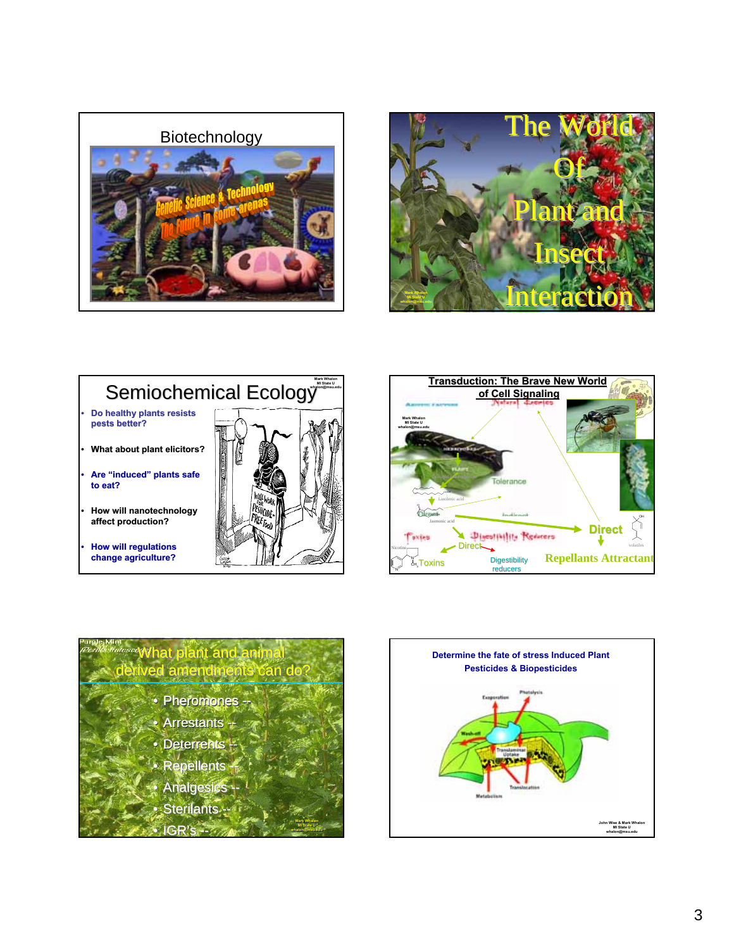









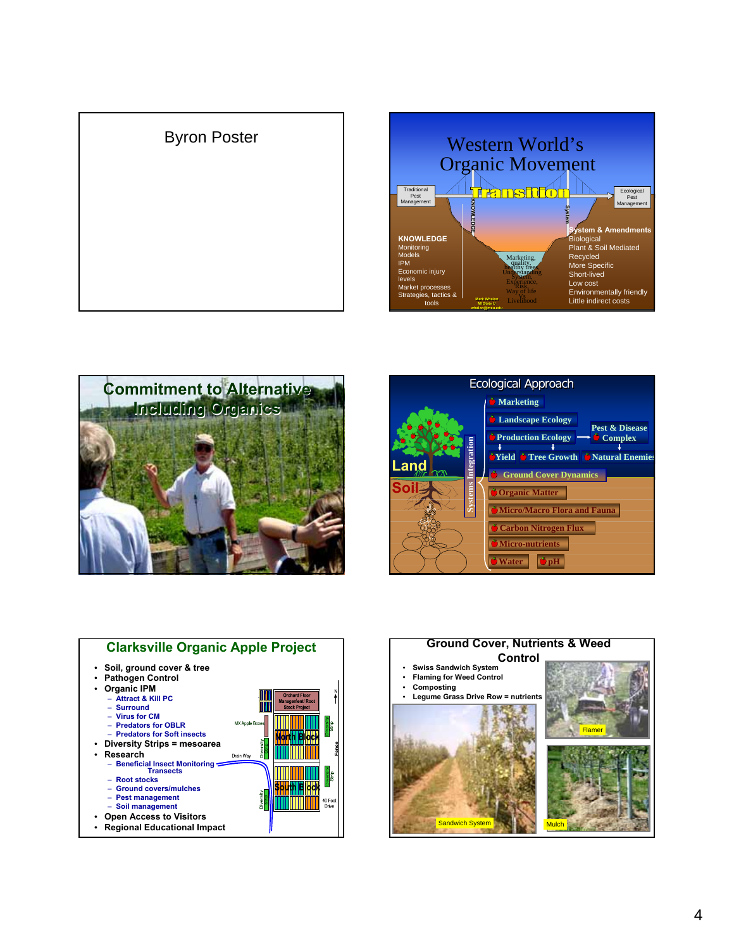









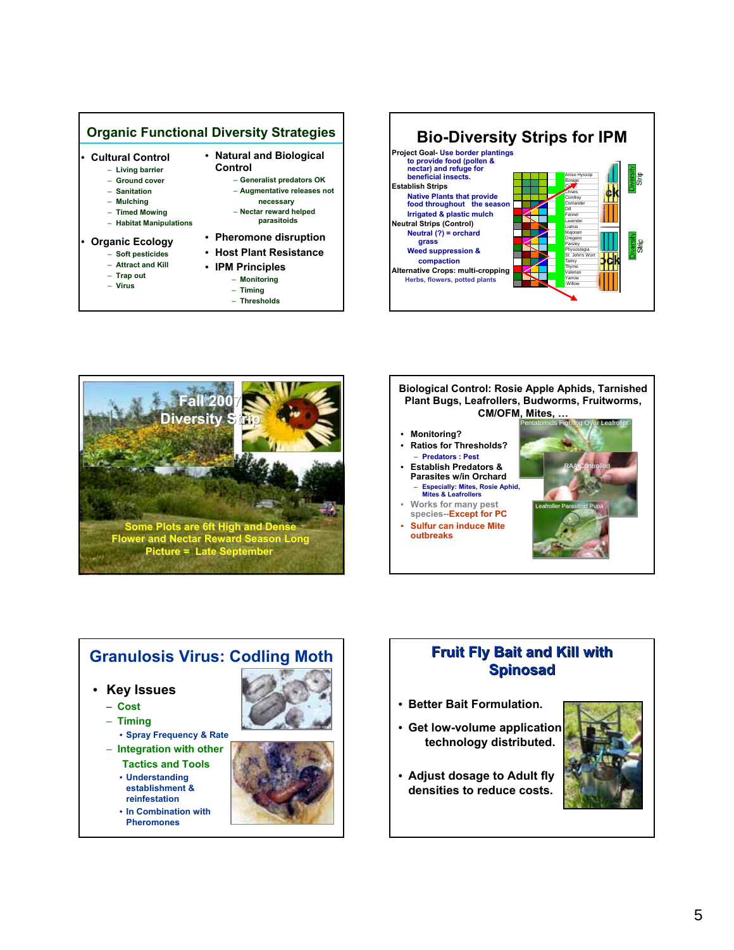







### **Granulosis Virus: Codling Moth**

#### • **Key Issues**

- **Cost**
- **Timing**
- **Spray Frequency & Rate**
- **Integration with other Tactics and Tools**
- **Understanding establishment & reinfestation**
- **In Combination with Pheromones**





#### **Fruit Fly Bait and Kill with Fruit Fly Bait and Kill with Spinosad Spinosad**

- **Better Bait Formulation.**
- **Get low-volume application technology distributed.**
- **Adjust dosage to Adult fly densities to reduce costs.**